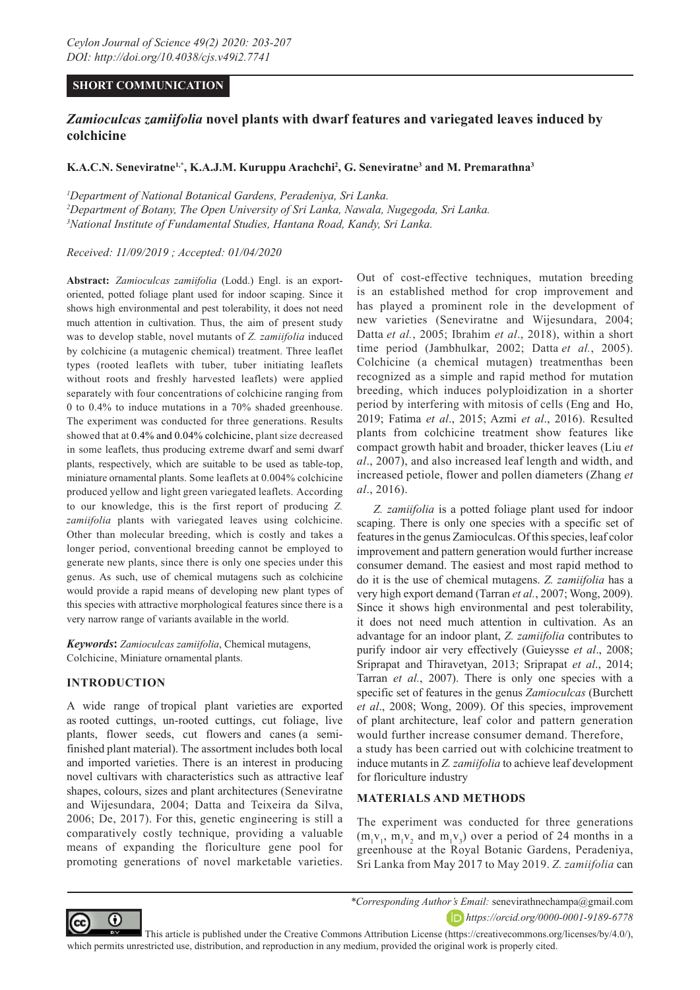# **SHORT COMMUNICATION**

# *Zamioculcas zamiifolia* **novel plants with dwarf features and variegated leaves induced by colchicine**

## **K.A.C.N. Seneviratne1,\*, K.A.J.M. Kuruppu Arachchi2 , G. Seneviratne3 and M. Premarathna3**

*1 Department of National Botanical Gardens, Peradeniya, Sri Lanka. 2 Department of Botany, The Open University of Sri Lanka, Nawala, Nugegoda, Sri Lanka. 3 National Institute of Fundamental Studies, Hantana Road, Kandy, Sri Lanka.*

*Received: 11/09/2019 ; Accepted: 01/04/2020*

**Abstract:** *Zamioculcas zamiifolia* (Lodd.) Engl. is an exportoriented, potted foliage plant used for indoor scaping. Since it shows high environmental and pest tolerability, it does not need much attention in cultivation. Thus, the aim of present study was to develop stable, novel mutants of *Z. zamiifolia* induced by colchicine (a mutagenic chemical) treatment. Three leaflet types (rooted leaflets with tuber, tuber initiating leaflets without roots and freshly harvested leaflets) were applied separately with four concentrations of colchicine ranging from 0 to 0.4% to induce mutations in a 70% shaded greenhouse. The experiment was conducted for three generations. Results showed that at 0.4% and 0.04% colchicine, plant size decreased in some leaflets, thus producing extreme dwarf and semi dwarf plants, respectively, which are suitable to be used as table-top, miniature ornamental plants. Some leaflets at 0.004% colchicine produced yellow and light green variegated leaflets. According to our knowledge, this is the first report of producing *Z. zamiifolia* plants with variegated leaves using colchicine. Other than molecular breeding, which is costly and takes a longer period, conventional breeding cannot be employed to generate new plants, since there is only one species under this genus. As such, use of chemical mutagens such as colchicine would provide a rapid means of developing new plant types of this species with attractive morphological features since there is a very narrow range of variants available in the world.

*Keywords***:** *Zamioculcas zamiifolia*, Chemical mutagens, Colchicine, Miniature ornamental plants.

## **INTRODUCTION**

A wide range of tropical plant varieties are exported as rooted cuttings, un-rooted cuttings, cut foliage, live plants, flower seeds, cut flowers and canes (a semifinished plant material). The assortment includes both local and imported varieties. There is an interest in producing novel cultivars with characteristics such as attractive leaf shapes, colours, sizes and plant architectures (Seneviratne and Wijesundara, 2004; Datta and Teixeira da Silva, 2006; De, 2017). For this, genetic engineering is still a comparatively costly technique, providing a valuable means of expanding the floriculture gene pool for promoting generations of novel marketable varieties.

Out of cost-effective techniques, mutation breeding is an established method for crop improvement and has played a prominent role in the development of new varieties (Seneviratne and Wijesundara, 2004; Datta *et al.*, 2005; Ibrahim *et al*., 2018), within a short time period (Jambhulkar, 2002; Datta *et al.*, 2005). Colchicine (a chemical mutagen) treatmenthas been recognized as a simple and rapid method for mutation breeding, which induces polyploidization in a shorter period by interfering with mitosis of cells (Eng and Ho, 2019; Fatima *et al*., 2015; Azmi *et al*., 2016). Resulted plants from colchicine treatment show features like compact growth habit and broader, thicker leaves (Liu *et al*., 2007), and also increased leaf length and width, and increased petiole, flower and pollen diameters (Zhang *et al*., 2016).

*Z. zamiifolia* is a potted foliage plant used for indoor scaping. There is only one species with a specific set of features in the genus Zamioculcas. Of this species, leaf color improvement and pattern generation would further increase consumer demand. The easiest and most rapid method to do it is the use of chemical mutagens. *Z. zamiifolia* has a very high export demand (Tarran *et al.*, 2007; Wong, 2009). Since it shows high environmental and pest tolerability, it does not need much attention in cultivation. As an advantage for an indoor plant, *Z. zamiifolia* contributes to purify indoor air very effectively (Guieysse *et al*., 2008; Sriprapat and Thiravetyan, 2013; Sriprapat *et al*., 2014; Tarran *et al.*, 2007). There is only one species with a specific set of features in the genus *Zamioculcas* (Burchett *et al*., 2008; Wong, 2009). Of this species, improvement of plant architecture, leaf color and pattern generation would further increase consumer demand. Therefore, a study has been carried out with colchicine treatment to induce mutants in *Z. zamiifolia* to achieve leaf development for floriculture industry

## **MATERIALS AND METHODS**

The experiment was conducted for three generations  $(m_1v_1, m_1v_2$  and  $m_1v_3)$  over a period of 24 months in a greenhouse at the Royal Botanic Gardens, Peradeniya, Sri Lanka from May 2017 to May 2019. *Z. zamiifolia* can



*\*Corresponding Author's Email:* senevirathnechampa@gmail.com *https://orcid.org/0000-0001-9189-6778*

 This article is published under the Creative Commons Attribution License (https://creativecommons.org/licenses/by/4.0/), which permits unrestricted use, distribution, and reproduction in any medium, provided the original work is properly cited.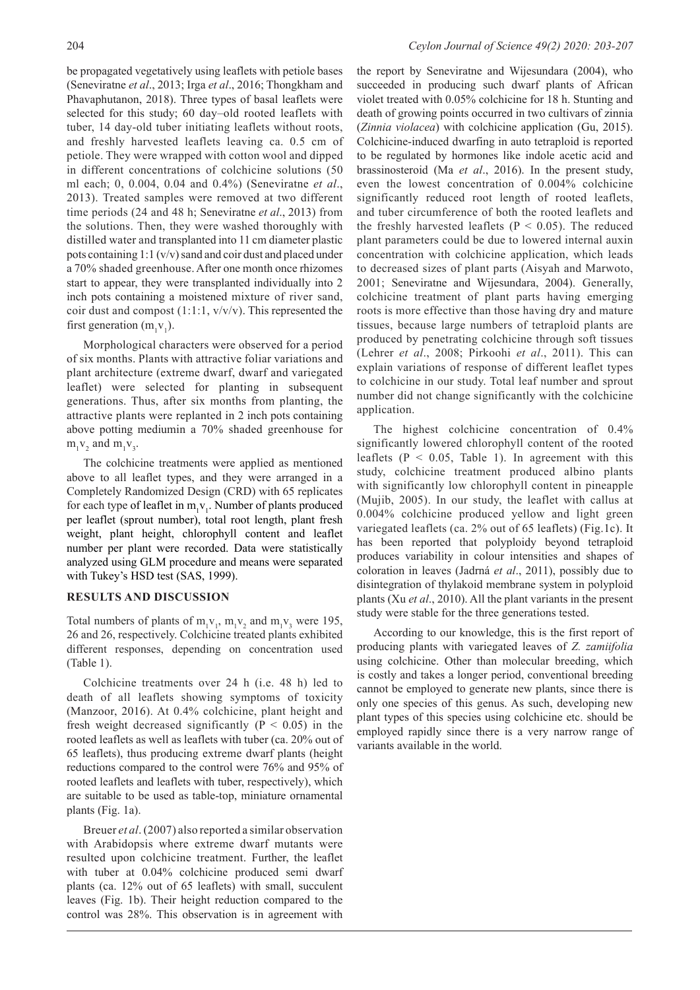be propagated vegetatively using leaflets with petiole bases (Seneviratne *et al*., 2013; Irga *et al*., 2016; Thongkham and Phavaphutanon, 2018). Three types of basal leaflets were selected for this study; 60 day–old rooted leaflets with tuber, 14 day-old tuber initiating leaflets without roots, and freshly harvested leaflets leaving ca. 0.5 cm of petiole. They were wrapped with cotton wool and dipped in different concentrations of colchicine solutions (50 ml each; 0, 0.004, 0.04 and 0.4%) (Seneviratne *et al*., 2013). Treated samples were removed at two different time periods (24 and 48 h; Seneviratne *et al*., 2013) from the solutions. Then, they were washed thoroughly with distilled water and transplanted into 11 cm diameter plastic pots containing 1:1 (v/v) sand and coir dust and placed under a 70% shaded greenhouse. After one month once rhizomes start to appear, they were transplanted individually into 2 inch pots containing a moistened mixture of river sand, coir dust and compost  $(1:1:1, v/v/v)$ . This represented the first generation  $(m_1v_1)$ .

Morphological characters were observed for a period of six months. Plants with attractive foliar variations and plant architecture (extreme dwarf, dwarf and variegated leaflet) were selected for planting in subsequent generations. Thus, after six months from planting, the attractive plants were replanted in 2 inch pots containing above potting mediumin a 70% shaded greenhouse for  $m_1v_2$  and  $m_1v_3$ .

The colchicine treatments were applied as mentioned above to all leaflet types, and they were arranged in a Completely Randomized Design (CRD) with 65 replicates for each type of leaflet in  $m_1v_1$ . Number of plants produced per leaflet (sprout number), total root length, plant fresh weight, plant height, chlorophyll content and leaflet number per plant were recorded. Data were statistically analyzed using GLM procedure and means were separated with Tukey's HSD test (SAS, 1999).

## **RESULTS AND DISCUSSION**

Total numbers of plants of  $m_1v_1$ ,  $m_1v_2$  and  $m_1v_3$  were 195, 26 and 26, respectively. Colchicine treated plants exhibited different responses, depending on concentration used (Table 1).

Colchicine treatments over 24 h (i.e. 48 h) led to death of all leaflets showing symptoms of toxicity (Manzoor, 2016). At 0.4% colchicine, plant height and fresh weight decreased significantly ( $P < 0.05$ ) in the rooted leaflets as well as leaflets with tuber (ca. 20% out of 65 leaflets), thus producing extreme dwarf plants (height reductions compared to the control were 76% and 95% of rooted leaflets and leaflets with tuber, respectively), which are suitable to be used as table-top, miniature ornamental plants (Fig. 1a).

Breuer *et al*. (2007) also reported a similar observation with Arabidopsis where extreme dwarf mutants were resulted upon colchicine treatment. Further, the leaflet with tuber at 0.04% colchicine produced semi dwarf plants (ca. 12% out of 65 leaflets) with small, succulent leaves (Fig. 1b). Their height reduction compared to the control was 28%. This observation is in agreement with

the report by Seneviratne and Wijesundara (2004), who succeeded in producing such dwarf plants of African violet treated with 0.05% colchicine for 18 h. Stunting and death of growing points occurred in two cultivars of zinnia (*Zinnia violacea*) with colchicine application (Gu, 2015). Colchicine-induced dwarfing in auto tetraploid is reported to be regulated by hormones like indole acetic acid and brassinosteroid (Ma *et al*., 2016). In the present study, even the lowest concentration of 0.004% colchicine significantly reduced root length of rooted leaflets, and tuber circumference of both the rooted leaflets and the freshly harvested leaflets ( $P < 0.05$ ). The reduced plant parameters could be due to lowered internal auxin concentration with colchicine application, which leads to decreased sizes of plant parts (Aisyah and Marwoto, 2001; Seneviratne and Wijesundara, 2004). Generally, colchicine treatment of plant parts having emerging roots is more effective than those having dry and mature tissues, because large numbers of tetraploid plants are produced by penetrating colchicine through soft tissues (Lehrer *et al*., 2008; Pirkoohi *et al*., 2011). This can explain variations of response of different leaflet types to colchicine in our study. Total leaf number and sprout number did not change significantly with the colchicine application.

The highest colchicine concentration of 0.4% significantly lowered chlorophyll content of the rooted leaflets ( $P < 0.05$ , Table 1). In agreement with this study, colchicine treatment produced albino plants with significantly low chlorophyll content in pineapple (Mujib, 2005). In our study, the leaflet with callus at 0.004% colchicine produced yellow and light green variegated leaflets (ca. 2% out of 65 leaflets) (Fig.1c). It has been reported that polyploidy beyond tetraploid produces variability in colour intensities and shapes of coloration in leaves (Jadrná *et al*., 2011), possibly due to disintegration of thylakoid membrane system in polyploid plants (Xu *et al*., 2010). All the plant variants in the present study were stable for the three generations tested.

According to our knowledge, this is the first report of producing plants with variegated leaves of *Z. zamiifolia* using colchicine. Other than molecular breeding, which is costly and takes a longer period, conventional breeding cannot be employed to generate new plants, since there is only one species of this genus. As such, developing new plant types of this species using colchicine etc. should be employed rapidly since there is a very narrow range of variants available in the world.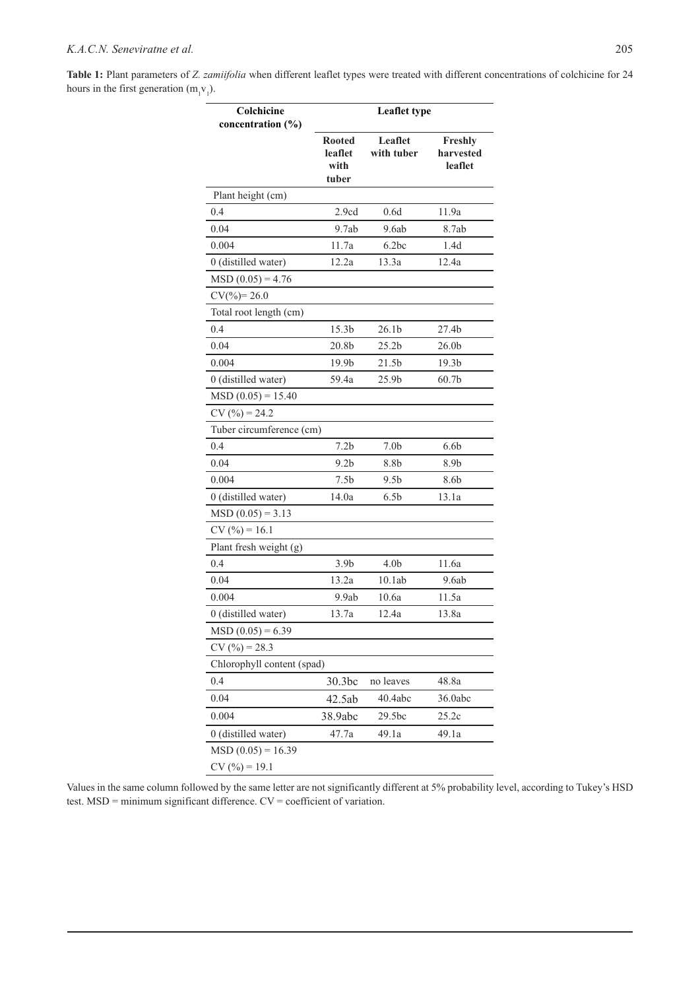**Table 1:** Plant parameters of *Z. zamiifolia* when different leaflet types were treated with different concentrations of colchicine for 24 hours in the first generation  $(m_1v_1)$ .

| Colchicine<br>concentration $(\% )$ | <b>Leaflet type</b>                       |                       |                                 |
|-------------------------------------|-------------------------------------------|-----------------------|---------------------------------|
|                                     | <b>Rooted</b><br>leaflet<br>with<br>tuber | Leaflet<br>with tuber | Freshly<br>harvested<br>leaflet |
| Plant height (cm)                   |                                           |                       |                                 |
| 0.4                                 | 2.9cd                                     | 0.6d                  | 11.9a                           |
| 0.04                                | 9.7ab                                     | 9.6ab                 | 8.7ab                           |
| 0.004                               | 11.7a                                     | 6.2bc                 | 1.4d                            |
| 0 (distilled water)                 | 12.2a                                     | 13.3a                 | 12.4a                           |
| $MSD(0.05) = 4.76$                  |                                           |                       |                                 |
| $CV(^{0}/_{0})=26.0$                |                                           |                       |                                 |
| Total root length (cm)              |                                           |                       |                                 |
| 0.4                                 | 15.3 <sub>b</sub>                         | 26.1 <sub>b</sub>     | 27.4b                           |
| 0.04                                | 20.8b                                     | 25.2 <sub>b</sub>     | 26.0 <sub>b</sub>               |
| 0.004                               | 19.9 <sub>b</sub>                         | 21.5 <sub>b</sub>     | 19.3 <sub>b</sub>               |
| 0 (distilled water)                 | 59.4a                                     | 25.9b                 | 60.7 <sub>b</sub>               |
| $MSD (0.05) = 15.40$                |                                           |                       |                                 |
| $CV(%) = 24.2$                      |                                           |                       |                                 |
| Tuber circumference (cm)            |                                           |                       |                                 |
| 0.4                                 | 7.2 <sub>b</sub>                          | 7.0 <sub>b</sub>      | 6.6 <sub>b</sub>                |
| 0.04                                | 9.2 <sub>b</sub>                          | 8.8b                  | 8.9b                            |
| 0.004                               | 7.5b                                      | 9.5 <sub>b</sub>      | 8.6b                            |
| 0 (distilled water)                 | 14.0a                                     | 6.5 <sub>b</sub>      | 13.1a                           |
| $MSD (0.05) = 3.13$                 |                                           |                       |                                 |
| $CV(%) = 16.1$                      |                                           |                       |                                 |
| Plant fresh weight (g)              |                                           |                       |                                 |
| 0.4                                 | 3.9 <sub>b</sub>                          | 4.0 <sub>b</sub>      | 11.6a                           |
| 0.04                                | 13.2a                                     | 10.1ab                | 9.6ab                           |
| 0.004                               | 9.9ab                                     | 10.6a                 | 11.5a                           |
| 0 (distilled water)                 | 13.7a                                     | 12.4a                 | 13.8a                           |
| $MSD (0.05) = 6.39$                 |                                           |                       |                                 |
| $CV(%) = 28.3$                      |                                           |                       |                                 |
| Chlorophyll content (spad)          |                                           |                       |                                 |
| 0.4                                 | 30.3bc                                    | no leaves             | 48.8a                           |
| 0.04                                | 42.5ab                                    | 40.4abc               | 36.0abc                         |
| 0.004                               | 38.9abc                                   | 29.5bc                | 25.2c                           |
| 0 (distilled water)                 | 47.7a                                     | 49.1a                 | 49.1a                           |
| $MSD(0.05) = 16.39$                 |                                           |                       |                                 |
| $CV(%) = 19.1$                      |                                           |                       |                                 |

Values in the same column followed by the same letter are not significantly different at 5% probability level, according to Tukey's HSD test. MSD = minimum significant difference. CV = coefficient of variation.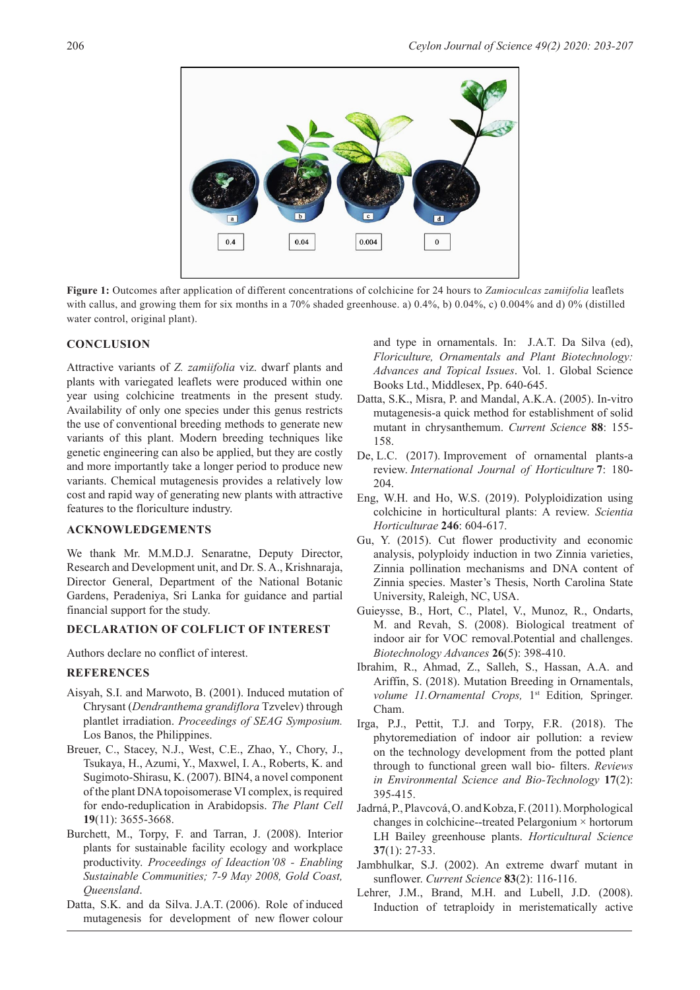

**Figure 1:** Outcomes after application of different concentrations of colchicine for 24 hours to *Zamioculcas zamiifolia* leaflets with callus, and growing them for six months in a 70% shaded greenhouse. a) 0.4%, b) 0.04%, c) 0.004% and d) 0% (distilled water control, original plant).

#### **CONCLUSION**

Attractive variants of *Z. zamiifolia* viz. dwarf plants and plants with variegated leaflets were produced within one year using colchicine treatments in the present study. Availability of only one species under this genus restricts the use of conventional breeding methods to generate new variants of this plant. Modern breeding techniques like genetic engineering can also be applied, but they are costly and more importantly take a longer period to produce new variants. Chemical mutagenesis provides a relatively low cost and rapid way of generating new plants with attractive features to the floriculture industry.

#### **ACKNOWLEDGEMENTS**

We thank Mr. M.M.D.J. Senaratne, Deputy Director, Research and Development unit, and Dr. S. A., Krishnaraja, Director General, Department of the National Botanic Gardens, Peradeniya, Sri Lanka for guidance and partial financial support for the study.

### **DECLARATION OF COLFLICT OF INTEREST**

Authors declare no conflict of interest.

#### **REFERENCES**

- Aisyah, S.I. and Marwoto, B. (2001). Induced mutation of Chrysant (*Dendranthema grandiflora* Tzvelev) through plantlet irradiation. *Proceedings of SEAG Symposium.*  Los Banos, the Philippines.
- Breuer, C., Stacey, N.J., West, C.E., Zhao, Y., Chory, J., Tsukaya, H., Azumi, Y., Maxwel, I. A., Roberts, K. and Sugimoto-Shirasu, K. (2007). BIN4, a novel component of the plant DNA topoisomerase VI complex, is required for endo-reduplication in Arabidopsis. *The Plant Cell*  **19**(11): 3655-3668.
- Burchett, M., Torpy, F. and Tarran, J. (2008). Interior plants for sustainable facility ecology and workplace productivity. *Proceedings of Ideaction'08 - Enabling Sustainable Communities; 7-9 May 2008, Gold Coast, Queensland*.
- Datta, S.K. and da Silva. J.A.T. (2006). Role of induced mutagenesis for development of new flower colour

and type in ornamentals. In: J.A.T. Da Silva (ed), *Floriculture, Ornamentals and Plant Biotechnology: Advances and Topical Issues*. Vol. 1. Global Science Books Ltd., Middlesex, Pp. 640-645.

- Datta, S.K., Misra, P. and Mandal, A.K.A. (2005). In-vitro mutagenesis-a quick method for establishment of solid mutant in chrysanthemum. *Current Science* **88**: 155- 158.
- De, L.C. (2017). Improvement of ornamental plants-a review. *International Journal of Horticulture* **7**: 180- 204.
- Eng, W.H. and Ho, W.S. (2019). Polyploidization using colchicine in horticultural plants: A review. *Scientia Horticulturae* **246**: 604-617.
- Gu, Y. (2015). Cut flower productivity and economic analysis, polyploidy induction in two Zinnia varieties, Zinnia pollination mechanisms and DNA content of Zinnia species. Master's Thesis, North Carolina State University, Raleigh, NC, USA.
- Guieysse, B., Hort, C., Platel, V., Munoz, R., Ondarts, M. and Revah, S. (2008). Biological treatment of indoor air for VOC removal.Potential and challenges. *Biotechnology Advances* **26**(5): 398-410.
- Ibrahim, R., Ahmad, Z., Salleh, S., Hassan, A.A. and Ariffin, S. (2018). Mutation Breeding in Ornamentals, *volume 11.Ornamental Crops,* 1<sup>st</sup> Edition, Springer. Cham.
- Irga, P.J., Pettit, T.J. and Torpy, F.R. (2018). The phytoremediation of indoor air pollution: a review on the technology development from the potted plant through to functional green wall bio- filters. *Reviews in Environmental Science and Bio-Technology* **17**(2): 395-415.
- Jadrná, P., Plavcová, O. and Kobza, F. (2011). Morphological changes in colchicine--treated Pelargonium × hortorum LH Bailey greenhouse plants. *Horticultural Science* **37**(1): 27-33.
- Jambhulkar, S.J. (2002). An extreme dwarf mutant in sunflower. *Current Science* **83**(2): 116-116.
- Lehrer, J.M., Brand, M.H. and Lubell, J.D. (2008). Induction of tetraploidy in meristematically active